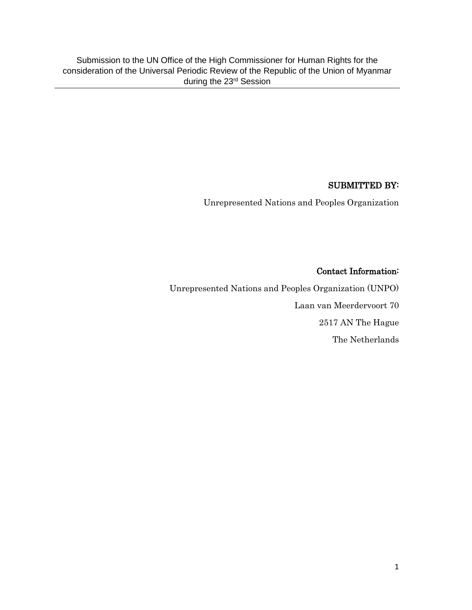#### SUBMITTED BY:

Unrepresented Nations and Peoples Organization

Contact Information:

Unrepresented Nations and Peoples Organization (UNPO) Laan van Meerdervoort 70 2517 AN The Hague The Netherlands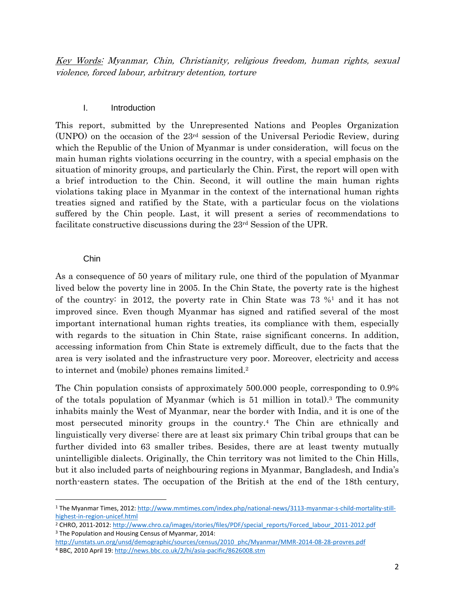Key Words: Myanmar, Chin, Christianity, religious freedom, human rights, sexual violence, forced labour, arbitrary detention, torture

#### I. Introduction

This report, submitted by the Unrepresented Nations and Peoples Organization (UNPO) on the occasion of the  $23<sup>rd</sup>$  session of the Universal Periodic Review, during which the Republic of the Union of Myanmar is under consideration, will focus on the main human rights violations occurring in the country, with a special emphasis on the situation of minority groups, and particularly the Chin. First, the report will open with a brief introduction to the Chin. Second, it will outline the main human rights violations taking place in Myanmar in the context of the international human rights treaties signed and ratified by the State, with a particular focus on the violations suffered by the Chin people. Last, it will present a series of recommendations to facilitate constructive discussions during the 23rd Session of the UPR.

#### Chin

 $\overline{\phantom{a}}$ 

As a consequence of 50 years of military rule, one third of the population of Myanmar lived below the poverty line in 2005. In the Chin State, the poverty rate is the highest of the country: in 2012, the poverty rate in Chin State was  $73\%$ <sup>1</sup> and it has not improved since. Even though Myanmar has signed and ratified several of the most important international human rights treaties, its compliance with them, especially with regards to the situation in Chin State, raise significant concerns. In addition, accessing information from Chin State is extremely difficult, due to the facts that the area is very isolated and the infrastructure very poor. Moreover, electricity and access to internet and (mobile) phones remains limited.<sup>2</sup>

The Chin population consists of approximately 500.000 people, corresponding to 0.9% of the totals population of Myanmar (which is 51 million in total). <sup>3</sup> The community inhabits mainly the West of Myanmar, near the border with India, and it is one of the most persecuted minority groups in the country.<sup>4</sup> The Chin are ethnically and linguistically very diverse: there are at least six primary Chin tribal groups that can be further divided into 63 smaller tribes. Besides, there are at least twenty mutually unintelligible dialects. Originally, the Chin territory was not limited to the Chin Hills, but it also included parts of neighbouring regions in Myanmar, Bangladesh, and India's north-eastern states. The occupation of the British at the end of the 18th century,

[http://unstats.un.org/unsd/demographic/sources/census/2010\\_phc/Myanmar/MMR-2014-08-28-provres.pdf](http://unstats.un.org/unsd/demographic/sources/census/2010_phc/Myanmar/MMR-2014-08-28-provres.pdf)

<sup>1</sup> The Myanmar Times, 2012: [http://www.mmtimes.com/index.php/national-news/3113-myanmar-s-child-mortality-still](http://www.mmtimes.com/index.php/national-news/3113-myanmar-s-child-mortality-still-highest-in-region-unicef.html)[highest-in-region-unicef.html](http://www.mmtimes.com/index.php/national-news/3113-myanmar-s-child-mortality-still-highest-in-region-unicef.html)

<sup>&</sup>lt;sup>2</sup> CHRO, 2011-2012[: http://www.chro.ca/images/stories/files/PDF/special\\_reports/Forced\\_labour\\_2011-2012.pdf](http://www.chro.ca/images/stories/files/PDF/special_reports/Forced_labour_2011-2012.pdf) <sup>3</sup> The Population and Housing Census of Myanmar, 2014:

<sup>4</sup> BBC, 2010 April 19:<http://news.bbc.co.uk/2/hi/asia-pacific/8626008.stm>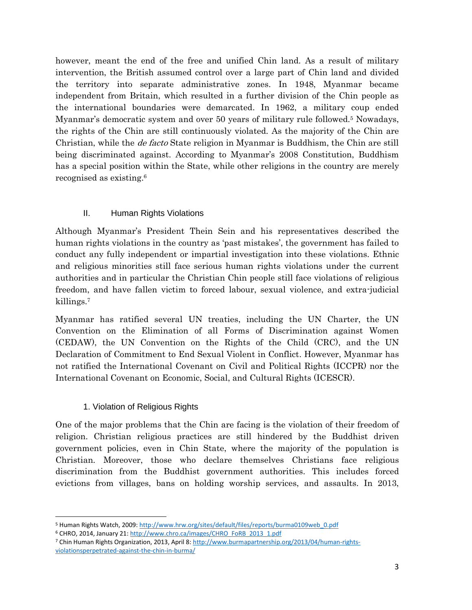however, meant the end of the free and unified Chin land. As a result of military intervention, the British assumed control over a large part of Chin land and divided the territory into separate administrative zones. In 1948, Myanmar became independent from Britain, which resulted in a further division of the Chin people as the international boundaries were demarcated. In 1962, a military coup ended Myanmar's democratic system and over 50 years of military rule followed.<sup>5</sup> Nowadays, the rights of the Chin are still continuously violated. As the majority of the Chin are Christian, while the de facto State religion in Myanmar is Buddhism, the Chin are still being discriminated against. According to Myanmar's 2008 Constitution, Buddhism has a special position within the State, while other religions in the country are merely recognised as existing. 6

## II. Human Rights Violations

Although Myanmar's President Thein Sein and his representatives described the human rights violations in the country as 'past mistakes', the government has failed to conduct any fully independent or impartial investigation into these violations. Ethnic and religious minorities still face serious human rights violations under the current authorities and in particular the Christian Chin people still face violations of religious freedom, and have fallen victim to forced labour, sexual violence, and extra-judicial killings. 7

Myanmar has ratified several UN treaties, including the UN Charter, the UN Convention on the Elimination of all Forms of Discrimination against Women (CEDAW), the UN Convention on the Rights of the Child (CRC), and the UN Declaration of Commitment to End Sexual Violent in Conflict. However, Myanmar has not ratified the International Covenant on Civil and Political Rights (ICCPR) nor the International Covenant on Economic, Social, and Cultural Rights (ICESCR).

## 1. Violation of Religious Rights

 $\overline{a}$ 

One of the major problems that the Chin are facing is the violation of their freedom of religion. Christian religious practices are still hindered by the Buddhist driven government policies, even in Chin State, where the majority of the population is Christian. Moreover, those who declare themselves Christians face religious discrimination from the Buddhist government authorities. This includes forced evictions from villages, bans on holding worship services, and assaults. In 2013,

<sup>5</sup> Human Rights Watch, 2009: [http://www.hrw.org/sites/default/files/reports/burma0109web\\_0.pdf](http://www.hrw.org/sites/default/files/reports/burma0109web_0.pdf)

<sup>6</sup> CHRO, 2014, January 21: [http://www.chro.ca/images/CHRO\\_FoRB\\_2013\\_1.pdf](http://www.chro.ca/images/CHRO_FoRB_2013_1.pdf)

<sup>7</sup> Chin Human Rights Organization, 2013, April 8[: http://www.burmapartnership.org/2013/04/human-rights](http://www.burmapartnership.org/2013/04/human-rights-violationsperpetrated-against-the-chin-in-burma/)[violationsperpetrated-against-the-chin-in-burma/](http://www.burmapartnership.org/2013/04/human-rights-violationsperpetrated-against-the-chin-in-burma/)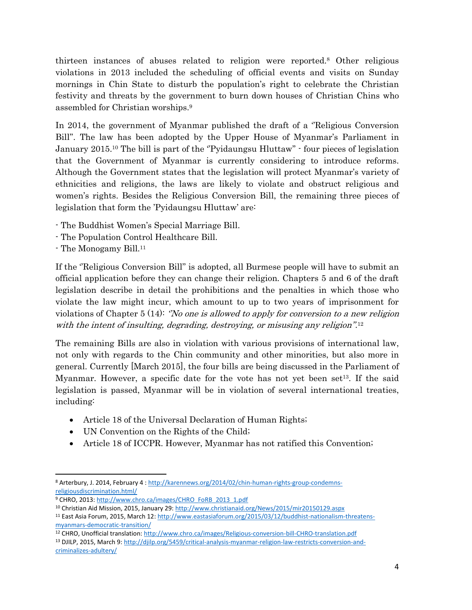thirteen instances of abuses related to religion were reported.<sup>8</sup> Other religious violations in 2013 included the scheduling of official events and visits on Sunday mornings in Chin State to disturb the population's right to celebrate the Christian festivity and threats by the government to burn down houses of Christian Chins who assembled for Christian worships.<sup>9</sup>

In 2014, the government of Myanmar published the draft of a ''Religious Conversion Bill''. The law has been adopted by the Upper House of Myanmar's Parliament in January 2015.<sup>10</sup> The bill is part of the "Pyidaungsu Hluttaw" - four pieces of legislation that the Government of Myanmar is currently considering to introduce reforms. Although the Government states that the legislation will protect Myanmar's variety of ethnicities and religions, the laws are likely to violate and obstruct religious and women's rights. Besides the Religious Conversion Bill, the remaining three pieces of legislation that form the 'Pyidaungsu Hluttaw' are:

- The Buddhist Women's Special Marriage Bill.
- The Population Control Healthcare Bill.
- The Monogamy Bill. 11

 $\overline{\phantom{a}}$ 

If the ''Religious Conversion Bill'' is adopted, all Burmese people will have to submit an official application before they can change their religion. Chapters 5 and 6 of the draft legislation describe in detail the prohibitions and the penalties in which those who violate the law might incur, which amount to up to two years of imprisonment for violations of Chapter 5 (14): "No one is allowed to apply for conversion to a new religion with the intent of insulting, degrading, destroying, or misusing any religion".<sup>12</sup>

The remaining Bills are also in violation with various provisions of international law, not only with regards to the Chin community and other minorities, but also more in general. Currently [March 2015], the four bills are being discussed in the Parliament of Myanmar. However, a specific date for the vote has not yet been set<sup>13</sup>. If the said legislation is passed, Myanmar will be in violation of several international treaties, including:

- Article 18 of the Universal Declaration of Human Rights;
- UN Convention on the Rights of the Child;
- Article 18 of ICCPR. However, Myanmar has not ratified this Convention;

<sup>8</sup> Arterbury, J. 2014, February 4 [: http://karennews.org/2014/02/chin-human-rights-group-condemns](http://karennews.org/2014/02/chin-human-rights-group-condemns-religiousdiscrimination.html/)[religiousdiscrimination.html/](http://karennews.org/2014/02/chin-human-rights-group-condemns-religiousdiscrimination.html/)

<sup>&</sup>lt;sup>9</sup> CHRO, 2013[: http://www.chro.ca/images/CHRO\\_FoRB\\_2013\\_1.pdf](http://www.chro.ca/images/CHRO_FoRB_2013_1.pdf)

<sup>10</sup> Christian Aid Mission, 2015, January 29[: http://www.christianaid.org/News/2015/mir20150129.aspx](http://www.christianaid.org/News/2015/mir20150129.aspx)

<sup>11</sup> East Asia Forum, 2015, March 12[: http://www.eastasiaforum.org/2015/03/12/buddhist-nationalism-threatens](http://www.eastasiaforum.org/2015/03/12/buddhist-nationalism-threatens-myanmars-democratic-transition/)[myanmars-democratic-transition/](http://www.eastasiaforum.org/2015/03/12/buddhist-nationalism-threatens-myanmars-democratic-transition/)

<sup>12</sup> CHRO, Unofficial translation:<http://www.chro.ca/images/Religious-conversion-bill-CHRO-translation.pdf>

<sup>13</sup> DJILP, 2015, March 9[: http://djilp.org/5459/critical-analysis-myanmar-religion-law-restricts-conversion-and](http://djilp.org/5459/critical-analysis-myanmar-religion-law-restricts-conversion-and-criminalizes-adultery/)[criminalizes-adultery/](http://djilp.org/5459/critical-analysis-myanmar-religion-law-restricts-conversion-and-criminalizes-adultery/)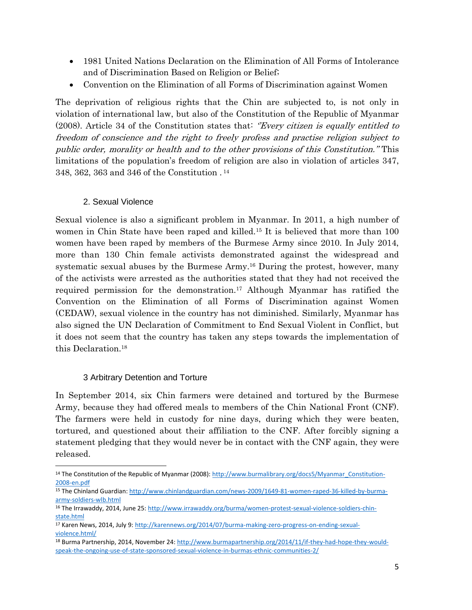- 1981 United Nations Declaration on the Elimination of All Forms of Intolerance and of Discrimination Based on Religion or Belief;
- Convention on the Elimination of all Forms of Discrimination against Women

The deprivation of religious rights that the Chin are subjected to, is not only in violation of international law, but also of the Constitution of the Republic of Myanmar (2008). Article 34 of the Constitution states that: ''Every citizen is equally entitled to freedom of conscience and the right to freely profess and practise religion subject to public order, morality or health and to the other provisions of this Constitution.'' This limitations of the population's freedom of religion are also in violation of articles 347, 348, 362, 363 and 346 of the Constitution . <sup>14</sup>

# 2. Sexual Violence

Sexual violence is also a significant problem in Myanmar. In 2011, a high number of women in Chin State have been raped and killed.<sup>15</sup> It is believed that more than 100 women have been raped by members of the Burmese Army since 2010. In July 2014, more than 130 Chin female activists demonstrated against the widespread and systematic sexual abuses by the Burmese Army.<sup>16</sup> During the protest, however, many of the activists were arrested as the authorities stated that they had not received the required permission for the demonstration.<sup>17</sup> Although Myanmar has ratified the Convention on the Elimination of all Forms of Discrimination against Women (CEDAW), sexual violence in the country has not diminished. Similarly, Myanmar has also signed the UN Declaration of Commitment to End Sexual Violent in Conflict, but it does not seem that the country has taken any steps towards the implementation of this Declaration.<sup>18</sup>

## 3 Arbitrary Detention and Torture

 $\overline{\phantom{a}}$ 

In September 2014, six Chin farmers were detained and tortured by the Burmese Army, because they had offered meals to members of the Chin National Front (CNF). The farmers were held in custody for nine days, during which they were beaten, tortured, and questioned about their affiliation to the CNF. After forcibly signing a statement pledging that they would never be in contact with the CNF again, they were released.

<sup>&</sup>lt;sup>14</sup> The Constitution of the Republic of Myanmar (2008)[: http://www.burmalibrary.org/docs5/Myanmar\\_Constitution-](http://www.burmalibrary.org/docs5/Myanmar_Constitution-2008-en.pdf)[2008-en.pdf](http://www.burmalibrary.org/docs5/Myanmar_Constitution-2008-en.pdf)

<sup>15</sup> The Chinland Guardian: [http://www.chinlandguardian.com/news-2009/1649-81-women-raped-36-killed-by-burma](http://www.chinlandguardian.com/news-2009/1649-81-women-raped-36-killed-by-burma-army-soldiers-wlb.html)[army-soldiers-wlb.html](http://www.chinlandguardian.com/news-2009/1649-81-women-raped-36-killed-by-burma-army-soldiers-wlb.html)

<sup>16</sup> The Irrawaddy, 2014, June 25: [http://www.irrawaddy.org/burma/women-protest-sexual-violence-soldiers-chin](http://www.irrawaddy.org/burma/women-protest-sexual-violence-soldiers-chin-state.html)[state.html](http://www.irrawaddy.org/burma/women-protest-sexual-violence-soldiers-chin-state.html)

<sup>17</sup> Karen News, 2014, July 9[: http://karennews.org/2014/07/burma-making-zero-progress-on-ending-sexual](http://karennews.org/2014/07/burma-making-zero-progress-on-ending-sexual-violence.html/)[violence.html/](http://karennews.org/2014/07/burma-making-zero-progress-on-ending-sexual-violence.html/)

<sup>18</sup> Burma Partnership, 2014, November 24: [http://www.burmapartnership.org/2014/11/if-they-had-hope-they-would](http://www.burmapartnership.org/2014/11/if-they-had-hope-they-would-speak-the-ongoing-use-of-state-sponsored-sexual-violence-in-burmas-ethnic-communities-2/)[speak-the-ongoing-use-of-state-sponsored-sexual-violence-in-burmas-ethnic-communities-2/](http://www.burmapartnership.org/2014/11/if-they-had-hope-they-would-speak-the-ongoing-use-of-state-sponsored-sexual-violence-in-burmas-ethnic-communities-2/)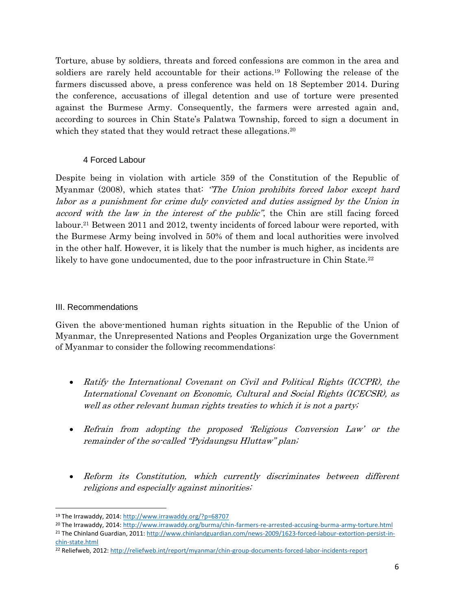Torture, abuse by soldiers, threats and forced confessions are common in the area and soldiers are rarely held accountable for their actions. <sup>19</sup> Following the release of the farmers discussed above, a press conference was held on 18 September 2014. During the conference, accusations of illegal detention and use of torture were presented against the Burmese Army. Consequently, the farmers were arrested again and, according to sources in Chin State's Palatwa Township, forced to sign a document in which they stated that they would retract these allegations.<sup>20</sup>

#### 4 Forced Labour

Despite being in violation with article 359 of the Constitution of the Republic of Myanmar (2008), which states that: "The Union prohibits forced labor except hard labor as a punishment for crime duly convicted and duties assigned by the Union in accord with the law in the interest of the public'', the Chin are still facing forced labour.<sup>21</sup> Between 2011 and 2012, twenty incidents of forced labour were reported, with the Burmese Army being involved in 50% of them and local authorities were involved in the other half. However, it is likely that the number is much higher, as incidents are likely to have gone undocumented, due to the poor infrastructure in Chin State.<sup>22</sup>

### III. Recommendations

 $\overline{\phantom{a}}$ 

Given the above-mentioned human rights situation in the Republic of the Union of Myanmar, the Unrepresented Nations and Peoples Organization urge the Government of Myanmar to consider the following recommendations:

- Ratify the International Covenant on Civil and Political Rights (ICCPR), the International Covenant on Economic, Cultural and Social Rights (ICECSR), as well as other relevant human rights treaties to which it is not a party;
- Refrain from adopting the proposed 'Religious Conversion Law' or the remainder of the so-called "Pyidaungsu Hluttaw" plan;
- Reform its Constitution, which currently discriminates between different religions and especially against minorities;

<sup>19</sup> The Irrawaddy, 2014:<http://www.irrawaddy.org/?p=68707>

<sup>20</sup> The Irrawaddy, 2014:<http://www.irrawaddy.org/burma/chin-farmers-re-arrested-accusing-burma-army-torture.html>

<sup>&</sup>lt;sup>21</sup> The Chinland Guardian, 2011[: http://www.chinlandguardian.com/news-2009/1623-forced-labour-extortion-persist-in](http://www.chinlandguardian.com/news-2009/1623-forced-labour-extortion-persist-in-chin-state.html)[chin-state.html](http://www.chinlandguardian.com/news-2009/1623-forced-labour-extortion-persist-in-chin-state.html)

<sup>22</sup> Reliefweb, 2012[: http://reliefweb.int/report/myanmar/chin-group-documents-forced-labor-incidents-report](http://reliefweb.int/report/myanmar/chin-group-documents-forced-labor-incidents-report)